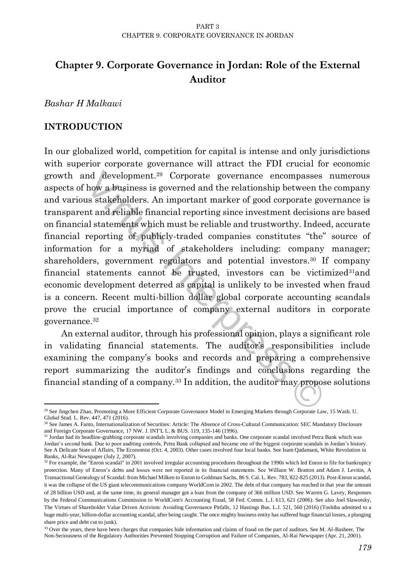# **Chapter 9. Corporate Governance in Jordan: Role of the External Auditor**

*Bashar H Malkawi*

# **INTRODUCTION**

nd development.<sup>29</sup> Corporate governance encompasses<br>how a business is governed and the relationship between the<br>as stakeholders. An important marker of good corporate gove<br>that and reliable financial reporting since inve In our globalized world, competition for capital is intense and only jurisdictions with superior corporate governance will attract the FDI crucial for economic growth and development.<sup>29</sup> Corporate governance encompasses numerous aspects of how a business is governed and the relationship between the company and various stakeholders. An important marker of good corporate governance is transparent and reliable financial reporting since investment decisions are based on financial statements which must be reliable and trustworthy. Indeed, accurate financial reporting of publicly-traded companies constitutes "the" source of information for a myriad of stakeholders including: company manager; shareholders, government regulators and potential investors.<sup>30</sup> If company financial statements cannot be trusted, investors can be victimized31and economic development deterred as capital is unlikely to be invested when fraud is a concern. Recent multi-billion dollar global corporate accounting scandals prove the crucial importance of company external auditors in corporate governance.<sup>32</sup>

An external auditor, through his professional opinion, plays a significant role in validating financial statements. The auditor's responsibilities include examining the company's books and records and preparing a comprehensive report summarizing the auditor's findings and conclusions regarding the financial standing of a company.<sup>33</sup> In addition, the auditor may propose solutions

 $\overline{a}$ <sup>29</sup> See Jingchen Zhao, Promoting a More Efficient Corporate Governance Model in Emerging Markets through Corporate Law, 15 Wash. U. Global Stud. L. Rev. 447, 471 (2016).

<sup>30</sup> See James A. Fanto, Internationalization of Securities: Article: The Absence of Cross-Cultural Communication: SEC Mandatory Disclosure and Foreign Corporate Governance, 17 NW. J. INT'L L. & BUS. 119, 135-146 (1996).

<sup>&</sup>lt;sup>31</sup> Jordan had its headline-grabbing corporate scandals involving companies and banks. One corporate scandal involved Petra Bank which was Jordan's second bank. Due to poor auditing controls, Petra Bank collapsed and became one of the biggest corporate scandals in Jordan's history. See A Delicate State of Affairs, The Economist (Oct. 4, 2003). Other cases involved four local banks. See Isam Qadamani, White Revolution in Banks, Al-Rai Newspaper (July 2, 2007).

<sup>&</sup>lt;sup>32</sup> For example, the "Enron scandal" in 2001 involved irregular accounting procedures throughout the 1990s which led Enron to file for bankruptcy protection. Many of Enron's debts and losses were not reported in its financial statements. See William W. Bratton and Adam J. Levitin, A Transactional Genealogy of Scandal: from Michael Milken to Enron to Goldman Sachs, 86 S. Cal. L. Rev. 783, 822-825 (2013). Post-Enron scandal, it was the collapse of the US giant telecommunications company WorldCom in 2002. The debt of that company has reached in that year the amount of 28 billion USD and, at the same time, its general manager got a loan from the company of 366 million USD. See Warren G. Lavey, Responses by the Federal Communications Commission to WorldCom's Accounting Fraud, 58 Fed. Comm. L.J. 613, 621 (2006). See also Joel Slawotsky, The Virtues of Shareholder Value Driven Activism: Avoiding Governance Pitfalls, 12 Hastings Bus. L.J. 521, 560 (2016) (Toshiba admitted to a huge multi-year, billion-dollar accounting scandal, after being caught. The once mighty business entity has suffered huge financial losses, a plunging share price and debt cut to junk).

<sup>&</sup>lt;sup>33</sup> Over the years, there have been charges that companies hide information and claims of fraud on the part of auditors. See M. Al-Basheer, The Non-Seriousness of the Regulatory Authorities Prevented Stopping Corruption and Failure of Companies, Al-Rai Newspaper (Apr. 21, 2001).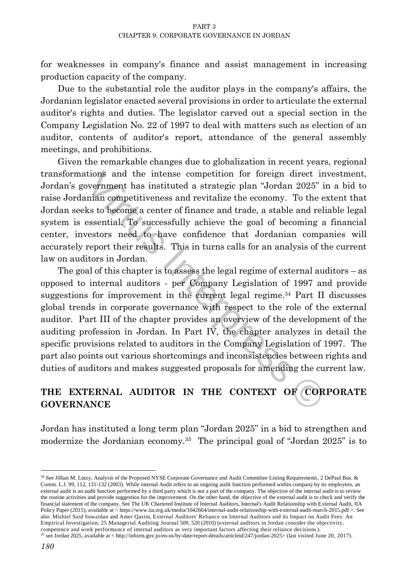for weaknesses in company's finance and assist management in increasing production capacity of the company.

Due to the substantial role the auditor plays in the company's affairs, the Jordanian legislator enacted several provisions in order to articulate the external auditor's rights and duties. The legislator carved out a special section in the Company Legislation No. 22 of 1997 to deal with matters such as election of an auditor, contents of auditor's report, attendance of the general assembly meetings, and prohibitions.

Given the remarkable changes due to globalization in recent years, regional transformations and the intense competition for foreign direct investment, Jordan's government has instituted a strategic plan "Jordan 2025" in a bid to raise Jordanian competitiveness and revitalize the economy. To the extent that Jordan seeks to become a center of finance and trade, a stable and reliable legal system is essential. To successfully achieve the goal of becoming a financial center, investors need to have confidence that Jordanian companies will accurately report their results. This in turns calls for an analysis of the current law on auditors in Jordan.

tions and the intense competition for foreign direct involvemment has instituted a strategic plan "Jordan 2025" in<br>mian competitiveness and revitalize the economy. To the ex<br>ks to become a center of finance and trade, a s The goal of this chapter is to assess the legal regime of external auditors – as opposed to internal auditors - per Company Legislation of 1997 and provide suggestions for improvement in the current legal regime.<sup>34</sup> Part II discusses global trends in corporate governance with respect to the role of the external auditor. Part III of the chapter provides an overview of the development of the auditing profession in Jordan. In Part IV, the chapter analyzes in detail the specific provisions related to auditors in the Company Legislation of 1997. The part also points out various shortcomings and inconsistencies between rights and duties of auditors and makes suggested proposals for amending the current law.

# **THE EXTERNAL AUDITOR IN THE CONTEXT OF CORPORATE GOVERNANCE**

Jordan has instituted a long term plan "Jordan 2025" in a bid to strengthen and modernize the Jordanian economy.<sup>35</sup> The principal goal of "Jordan 2025" is to

 $\overline{a}$ 

<sup>34</sup> See Jillian M. Lutzy, Analysis of the Proposed NYSE Corporate Governance and Audit Committee Listing Requirements, 2 DePaul Bus. & Comm. L.J. 99, 112, 131-132 (2003). While internal Audit refers to an ongoing audit function performed within company by its employees, an external audit is an audit function performed by a third party which is not a part of the company. The objective of the internal audit is to review the routine activities and provide suggestion for the improvement. On the other hand, the objective of the external audit is to check and verify the financial statement of the company. See The UK Chartered Institute of Internal Auditors, Internal's Audit Relationship with External Audit, IIA Policy Paper (2015), available at < https://www.iia.org.uk/media/1042664/internal-audit-relationship-with-external-audit-march-2015.pdf >. See also [Mishiel Said Suwaidan](http://www.emeraldinsight.com/author/Said+Suwaidan%2C+Mishiel) an[d Amer Qasim,](http://www.emeraldinsight.com/author/Qasim%2C+Amer) External Auditors' Reliance on Internal Auditors and its Impact on Audit Fees: An Empirical Investigation, 25 Managerial Auditing Journal 509, 520 (2010) (external auditors in Jordan consider the objectivity, competence and work performance of internal auditors as very important factors affecting their reliance decisions).

<sup>&</sup>lt;sup>35</sup> see Jordan 2025, available at < http://inform.gov.jo/en-us/by-date/report-details/articleid/247/jordan-2025> (last visited June 20, 2017).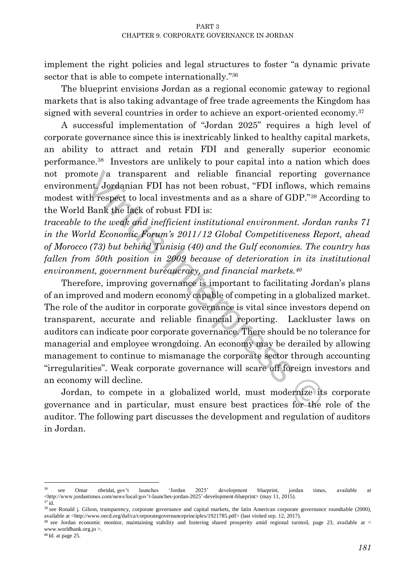implement the right policies and legal structures to foster "a dynamic private sector that is able to compete internationally."<sup>36</sup>

The blueprint envisions Jordan as a regional economic gateway to regional markets that is also taking advantage of free trade agreements the Kingdom has signed with several countries in order to achieve an export-oriented economy.<sup>37</sup>

A successful implementation of "Jordan 2025" requires a high level of corporate governance since this is inextricably linked to healthy capital markets, an ability to attract and retain FDI and generally superior economic performance.<sup>38</sup> Investors are unlikely to pour capital into a nation which does not promote a transparent and reliable financial reporting governance environment. Jordanian FDI has not been robust, "FDI inflows, which remains modest with respect to local investments and as a share of GDP."<sup>39</sup> According to the World Bank the lack of robust FDI is:

*traceable to the weak and inefficient institutional environment. Jordan ranks 71 in the World Economic Forum's 2011/12 Global Competitiveness Report, ahead of Morocco (73) but behind Tunisia (40) and the Gulf economies. The country has fallen from 50th position in 2009 because of deterioration in its institutional environment, government bureaucracy, and financial markets.<sup>40</sup>*

ote a transparent and reliable financial reporting g<br>ent, Jordanian FDI has not been robust, "FDI inflows, whic<br>th respect to local investments and as a share of GDP."<sup>39</sup> Ac<br>Bank the lack of robust FDI is:<br>to the weak and Therefore, improving governance is important to facilitating Jordan's plans of an improved and modern economy capable of competing in a globalized market. The role of the auditor in corporate governance is vital since investors depend on transparent, accurate and reliable financial reporting. Lackluster laws on auditors can indicate poor corporate governance. There should be no tolerance for managerial and employee wrongdoing. An economy may be derailed by allowing management to continue to mismanage the corporate sector through accounting "irregularities". Weak corporate governance will scare off foreign investors and an economy will decline.

Jordan, to compete in a globalized world, must modernize its corporate governance and in particular, must ensure best practices for the role of the auditor. The following part discusses the development and regulation of auditors in Jordan.

 $\overline{a}$ 

<sup>36</sup> see Omar obeidat, gov't launches 'Jordan 2025' development blueprint, jordan times, available at [<http://www.jordantimes.com/news/local/gov't-launches-jordan-2025'-development-blueprint> \(may 11,](http://www.jordantimes.com/news/local/gov) 2015). <sup>37</sup> id.

<sup>&</sup>lt;sup>38</sup> see Ronald j. Gilson, transparency, corporate governance and capital markets, the latin American corporate governance roundtable (2000), available at <http://www.oecd.org/daf/ca/corporategovernanceprinciples/1921785.pdf> (last visited sep. 12, 2017).

<sup>39</sup> see Jordan economic monitor, maintaining stability and fostering shared prosperity amid regional turmoil, page 23, available at < www.worldbank.org.jo >.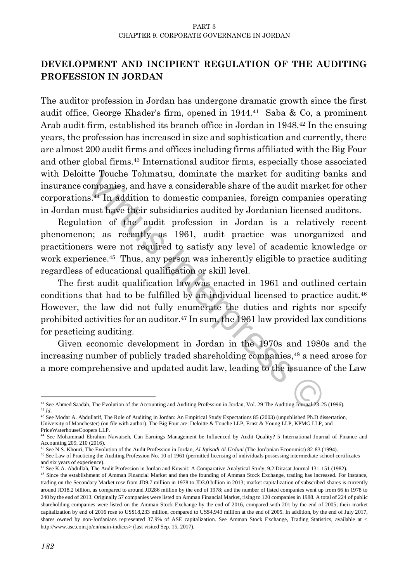# **DEVELOPMENT AND INCIPIENT REGULATION OF THE AUDITING PROFESSION IN JORDAN**

The auditor profession in Jordan has undergone dramatic growth since the first audit office, George Khader's firm, opened in 1944.<sup>41</sup> Saba & Co, a prominent Arab audit firm, established its branch office in Jordan in 1948.<sup>42</sup> In the ensuing years, the profession has increased in size and sophistication and currently, there are almost 200 audit firms and offices including firms affiliated with the Big Four and other global firms.<sup>43</sup> International auditor firms, especially those associated with Deloitte Touche Tohmatsu, dominate the market for auditing banks and insurance companies, and have a considerable share of the audit market for other corporations.<sup>44</sup> In addition to domestic companies, foreign companies operating in Jordan must have their subsidiaries audited by Jordanian licensed auditors.

Regulation of the audit profession in Jordan is a relatively recent phenomenon; as recently as 1961, audit practice was unorganized and practitioners were not required to satisfy any level of academic knowledge or work experience.<sup>45</sup> Thus, any person was inherently eligible to practice auditing regardless of educational qualification or skill level.

the Touche Tohmatsu, dominate the market for auditing biompanies, and have a considerable share of the audit market s.<sup>44</sup> In addition to domestic companies, foreign companies (nust have their subsidiaries audited by Jord The first audit qualification law was enacted in 1961 and outlined certain conditions that had to be fulfilled by an individual licensed to practice audit.<sup>46</sup> However, the law did not fully enumerate the duties and rights nor specify prohibited activities for an auditor.<sup>47</sup> In sum, the 1961 law provided lax conditions for practicing auditing.

Given economic development in Jordan in the 1970s and 1980s and the increasing number of publicly traded shareholding companies,<sup>48</sup> a need arose for a more comprehensive and updated audit law, leading to the issuance of the Law

<sup>45</sup> See N.S. Khouri, The Evolution of the Audit Profession in Jordan, *Al-Iqtisadi Al-Urduni* (The Jordanian Economist) 82-83 (1994).

 $\overline{\phantom{a}}$ <sup>41</sup> See Ahmed Saadah, The Evolution of the Accounting and Auditing Profession in Jordan, Vol. 29 The Auditing Journal 23-25 (1996). <sup>42</sup> *Id*.

<sup>43</sup> See Modar A. Abdullatif, The Role of Auditing in Jordan: An Empirical Study Expectations 85 (2003) (unpublished Ph.D dissertation, University of Manchester) (on file with author). The Big Four are: Deloitte & Touche LLP, Ernst & Young LLP, KPMG LLP, and PriceWaterhouseCoopers LLP.

<sup>44</sup> See Mohammad Ebrahim Nawaiseh, Can Earnings Management be Influenced by Audit Quality? 5 International Journal of Finance and Accounting 209, 210 (2016).

<sup>46</sup> See Law of Practicing the Auditing Profession No. 10 of 1961 (permitted licensing of individuals possessing intermediate school certificates and six years of experience).

<sup>47</sup> See K.A. Abdullah, The Audit Profession in Jordan and Kuwait: A Comparative Analytical Study, 9.2 Dirasat Journal 131-151 (1982).

<sup>48</sup> Since the establishment of Amman Financial Market and then the founding of Amman Stock Exchange, trading has increased. For instance, trading on the Secondary Market rose from JD9.7 million in 1978 to JD3.0 billion in 2013; market capitalization of subscribed shares is currently around JD18.2 billion, as compared to around JD286 million by the end of 1978; and the number of listed companies went up from 66 in 1978 to 240 by the end of 2013. Originally 57 companies were listed on Amman Financial Market, rising to 120 companies in 1988. A total of 224 of public shareholding companies were listed on the Amman Stock Exchange by the end of 2016, compared with 201 by the end of 2005; their market capitalization by end of 2016 rose to US\$18,233 million, compared to US\$4,943 million at the end of 2005. In addition, by the end of July 2017, shares owned by non-Jordanians represented 37.9% of ASE capitalization. See Amman Stock Exchange, Trading Statistics, available at < http://www.ase.com.jo/en/main-indices> (last visited Sep. 15, 2017).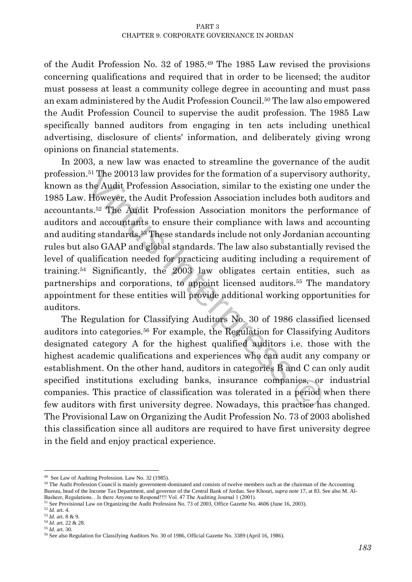of the Audit Profession No. 32 of 1985.<sup>49</sup> The 1985 Law revised the provisions concerning qualifications and required that in order to be licensed; the auditor must possess at least a community college degree in accounting and must pass an exam administered by the Audit Profession Council.<sup>50</sup> The law also empowered the Audit Profession Council to supervise the audit profession. The 1985 Law specifically banned auditors from engaging in ten acts including unethical advertising, disclosure of clients' information, and deliberately giving wrong opinions on financial statements.

<sup>51</sup> The 20013 law provides for the formation of a supervisory<br>the Audit Profession Association, similar to the existing one<br>However, the Audit Profession Association includes both au<br>ts.<sup>52</sup> The Audit Profession Associati In 2003, a new law was enacted to streamline the governance of the audit profession.<sup>51</sup> The 20013 law provides for the formation of a supervisory authority, known as the Audit Profession Association, similar to the existing one under the 1985 Law. However, the Audit Profession Association includes both auditors and accountants.<sup>52</sup> The Audit Profession Association monitors the performance of auditors and accountants to ensure their compliance with laws and accounting and auditing standards.<sup>53</sup> These standards include not only Jordanian accounting rules but also GAAP and global standards. The law also substantially revised the level of qualification needed for practicing auditing including a requirement of training.<sup>54</sup> Significantly, the 2003 law obligates certain entities, such as partnerships and corporations, to appoint licensed auditors.<sup>55</sup> The mandatory appointment for these entities will provide additional working opportunities for auditors.

The Regulation for Classifying Auditors No. 30 of 1986 classified licensed auditors into categories.<sup>56</sup> For example, the Regulation for Classifying Auditors designated category A for the highest qualified auditors i.e. those with the highest academic qualifications and experiences who can audit any company or establishment. On the other hand, auditors in categories B and C can only audit specified institutions excluding banks, insurance companies, or industrial companies. This practice of classification was tolerated in a period when there few auditors with first university degree. Nowadays, this practice has changed. The Provisional Law on Organizing the Audit Profession No. 73 of 2003 abolished this classification since all auditors are required to have first university degree in the field and enjoy practical experience.

 49 See Law of Auditing Profession. Law No. 32 (1985).

<sup>50</sup> The Audit Profession Council is mainly government-dominated and consists of twelve members such as the chairman of the Accounting Bureau, head of the Income Tax Department, and governor of the Central Bank of Jordan. See Khouri, *supra* note 17, at 83. See also M. Al-Basheer, Regulations…Is there Anyone to Respond!!!! Vol. 47 The Auditing Journal 1 (2001).

<sup>&</sup>lt;sup>51</sup> See Provisional Law on Organizing the Audit Profession No. 73 of 2003, Office Gazette No. 4606 (June 16, 2003).

<sup>52</sup> *Id*. art. 4.

<sup>53</sup> *Id*. art. 8 & 9.

<sup>54</sup> *Id*. art. 22 & 28.

<sup>55</sup> *Id*. art. 30.

<sup>56</sup> See also Regulation for Classifying Auditors No. 30 of 1986, Official Gazette No. 3389 (April 16, 1986).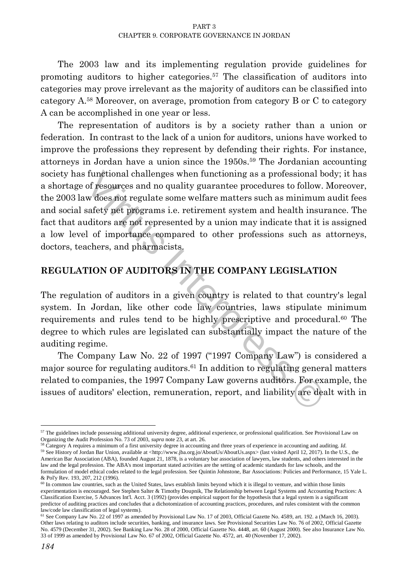The 2003 law and its implementing regulation provide guidelines for promoting auditors to higher categories.<sup>57</sup> The classification of auditors into categories may prove irrelevant as the majority of auditors can be classified into category A.<sup>58</sup> Moreover, on average, promotion from category B or C to category A can be accomplished in one year or less.

functional challenges when functioning as a professional bof resources and no quality guarantee procedures to follow. Notice for explanation of the programs i.e. retirement system and health insural safety net programs i. The representation of auditors is by a society rather than a union or federation. In contrast to the lack of a union for auditors, unions have worked to improve the professions they represent by defending their rights. For instance, attorneys in Jordan have a union since the 1950s.<sup>59</sup> The Jordanian accounting society has functional challenges when functioning as a professional body; it has a shortage of resources and no quality guarantee procedures to follow. Moreover, the 2003 law does not regulate some welfare matters such as minimum audit fees and social safety net programs i.e. retirement system and health insurance. The fact that auditors are not represented by a union may indicate that it is assigned a low level of importance compared to other professions such as attorneys, doctors, teachers, and pharmacists.

### **REGULATION OF AUDITORS IN THE COMPANY LEGISLATION**

The regulation of auditors in a given country is related to that country's legal system. In Jordan, like other code law countries, laws stipulate minimum requirements and rules tend to be highly prescriptive and procedural.<sup>60</sup> The degree to which rules are legislated can substantially impact the nature of the auditing regime.

The Company Law No. 22 of 1997 ("1997 Company Law") is considered a major source for regulating auditors.<sup>61</sup> In addition to regulating general matters related to companies, the 1997 Company Law governs auditors. For example, the issues of auditors' election, remuneration, report, and liability are dealt with in

 $\overline{\phantom{a}}$  $57$  The guidelines include possessing additional university degree, additional experience, or professional qualification. See Provisional Law on Organizing the Audit Profession No. 73 of 2003, *supra* note 23, at art. 26.

<sup>58</sup> Category A requires a minimum of a first university degree in accounting and three years of experience in accounting and auditing. *Id*. 59 See History of Jordan Bar Union, available at [<http://www.jba.org.jo/AboutUs/AboutUs.aspx>](http://www.jba.org.jo/AboutUs/AboutUs.aspx) (last visited April 12, 2017). In the U.S., the American Bar Association (ABA), founded August 21, 1878, is a voluntary bar association o[f lawyers,](https://en.wikipedia.org/wiki/Lawyers) law students, and others interested in the law and the legal profession. The ABA's most important stated activities are the setting of academic standards fo[r law schools,](https://en.wikipedia.org/wiki/Law_school) and the formulation of model ethical codes related to the legal profession. See Quintin Johnstone, Bar Associations: Policies and Performance, 15 Yale L. & Pol'y Rev. 193, 207, 212 (1996).

 $\frac{60 \text{ H}}{60 \text{ H}}$  common law countries, such as the United States, laws establish limits beyond which it is illegal to venture, and within those limits experimentation is encouraged. See Stephen Salter & Timothy Doupnik, The Relationship between Legal Systems and Accounting Practices: A Classification Exercise, 5 Advances Int'l. Acct. 3 (1992) (provides empirical support for the hypothesis that a legal system is a significant predictor of auditing practices and concludes that a dichotomization of accounting practices, procedures, and rules consistent with the common law/code law classification of legal systems).

<sup>61</sup> See Company Law No. 22 of 1997 as amended by Provisional Law No. 17 of 2003, Official Gazette No. 4589, art. 192. a (March 16, 2003). Other laws relating to auditors include securities, banking, and insurance laws. See Provisional Securities Law No. 76 of 2002, Official Gazette No. 4579 (December 31, 2002). See Banking Law No. 28 of 2000, Official Gazette No. 4448, art. 60 (August 2000). See also Insurance Law No. 33 of 1999 as amended by Provisional Law No. 67 of 2002, Official Gazette No. 4572, art. 40 (November 17, 2002).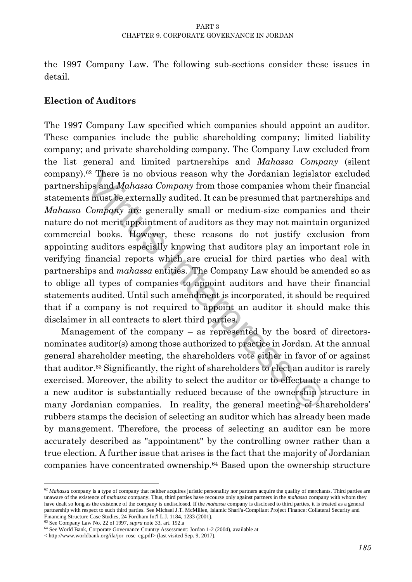the 1997 Company Law. The following sub-sections consider these issues in detail.

# **Election of Auditors**

<sup>62</sup> There is no obvious reason why the Jordanian legislator<br>ips and *Mahassa Company* from those companies whom thei<br>s must be externally audited. It can be presumed that partner<br>*Company* are generally small or medium-s The 1997 Company Law specified which companies should appoint an auditor. These companies include the public shareholding company; limited liability company; and private shareholding company. The Company Law excluded from the list general and limited partnerships and *Mahassa Company* (silent company).<sup>62</sup> There is no obvious reason why the Jordanian legislator excluded partnerships and *Mahassa Company* from those companies whom their financial statements must be externally audited. It can be presumed that partnerships and *Mahassa Company* are generally small or medium-size companies and their nature do not merit appointment of auditors as they may not maintain organized commercial books. However, these reasons do not justify exclusion from appointing auditors especially knowing that auditors play an important role in verifying financial reports which are crucial for third parties who deal with partnerships and *mahassa* entities. The Company Law should be amended so as to oblige all types of companies to appoint auditors and have their financial statements audited. Until such amendment is incorporated, it should be required that if a company is not required to appoint an auditor it should make this disclaimer in all contracts to alert third parties.

Management of the company – as represented by the board of directorsnominates auditor(s) among those authorized to practice in Jordan. At the annual general shareholder meeting, the shareholders vote either in favor of or against that auditor.<sup>63</sup> Significantly, the right of shareholders to elect an auditor is rarely exercised. Moreover, the ability to select the auditor or to effectuate a change to a new auditor is substantially reduced because of the ownership structure in many Jordanian companies. In reality, the general meeting of shareholders' rubbers stamps the decision of selecting an auditor which has already been made by management. Therefore, the process of selecting an auditor can be more accurately described as "appointment" by the controlling owner rather than a true election. A further issue that arises is the fact that the majority of Jordanian companies have concentrated ownership.<sup>64</sup> Based upon the ownership structure

 $\ddot{\phantom{a}}$ 

<sup>&</sup>lt;sup>62</sup> Mahassa company is a type of company that neither acquires juristic personality nor partners acquire the quality of merchants. Third parties are unaware of the existence of *mahassa* company. Thus, third parties have recourse only against partners in the *mahassa* company with whom they have dealt so long as the existence of the company is undisclosed. If the *mahassa* company is disclosed to third parties, it is treated as a general partnership with respect to such third parties. See Michael J.T. McMillen, Islamic Shari'a-Compliant Project Finance: Collateral Security and Financing Structure Case Studies, 24 Fordham Int'l L.J. 1184, 1233 (2001).

<sup>63</sup> See Company Law No. 22 of 1997, *supra* note 33, art. 192.a

<sup>64</sup> See World Bank, Corporate Governance Country Assessment: Jordan 1-2 (2004), available at

[<sup>&</sup>lt; http://www.worldbank.org/ifa/jor\\_rosc\\_cg.pdf>](http://www.worldbank.org/ifa/jor_rosc_cg.pdf) (last visited Sep. 9, 2017).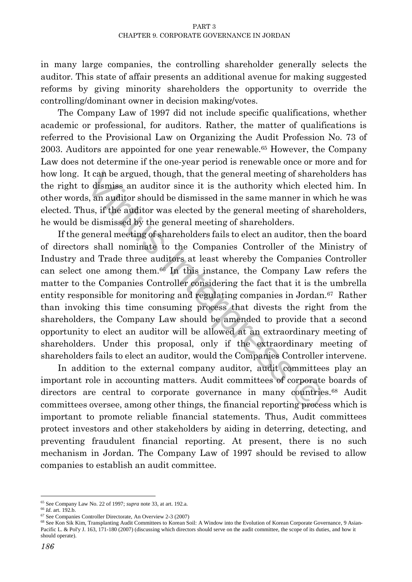in many large companies, the controlling shareholder generally selects the auditor. This state of affair presents an additional avenue for making suggested reforms by giving minority shareholders the opportunity to override the controlling/dominant owner in decision making/votes.

The Company Law of 1997 did not include specific qualifications, whether academic or professional, for auditors. Rather, the matter of qualifications is referred to the Provisional Law on Organizing the Audit Profession No. 73 of 2003. Auditors are appointed for one year renewable.<sup>65</sup> However, the Company Law does not determine if the one-year period is renewable once or more and for how long. It can be argued, though, that the general meeting of shareholders has the right to dismiss an auditor since it is the authority which elected him. In other words, an auditor should be dismissed in the same manner in which he was elected. Thus, if the auditor was elected by the general meeting of shareholders, he would be dismissed by the general meeting of shareholders.

It can be argued, though, that the general meeting of sharehoodismiss an auditor since it is the authority which elected s, an auditor should be dismissed in the same manner in which since, it is the auditor was elected by If the general meeting of shareholders fails to elect an auditor, then the board of directors shall nominate to the Companies Controller of the Ministry of Industry and Trade three auditors at least whereby the Companies Controller can select one among them.<sup>66</sup> In this instance, the Company Law refers the matter to the Companies Controller considering the fact that it is the umbrella entity responsible for monitoring and regulating companies in Jordan.<sup>67</sup> Rather than invoking this time consuming process that divests the right from the shareholders, the Company Law should be amended to provide that a second opportunity to elect an auditor will be allowed at an extraordinary meeting of shareholders. Under this proposal, only if the extraordinary meeting of shareholders fails to elect an auditor, would the Companies Controller intervene.

In addition to the external company auditor, audit committees play an important role in accounting matters. Audit committees of corporate boards of directors are central to corporate governance in many countries.<sup>68</sup> Audit committees oversee, among other things, the financial reporting process which is important to promote reliable financial statements. Thus, Audit committees protect investors and other stakeholders by aiding in deterring, detecting, and preventing fraudulent financial reporting. At present, there is no such mechanism in Jordan. The Company Law of 1997 should be revised to allow companies to establish an audit committee.

**.** 

<sup>65</sup> See Company Law No. 22 of 1997; *supra* note 33, at art. 192.a.

<sup>66</sup> *Id*. art. 192.b.

<sup>67</sup> See Companies Controller Directorate, An Overview 2-3 (2007)

<sup>68</sup> See Kon Sik Kim, Transplanting Audit Committees to Korean Soil: A Window into the Evolution of Korean Corporate Governance, 9 Asian-Pacific L. & Pol'y J. 163, 171-180 (2007) (discussing which directors should serve on the audit committee, the scope of its duties, and how it should operate).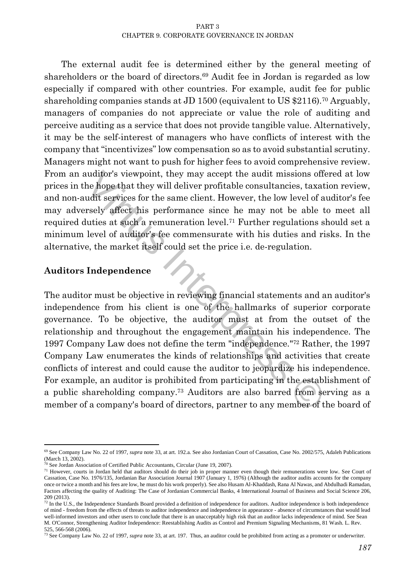The external audit fee is determined either by the general meeting of shareholders or the board of directors.<sup>69</sup> Audit fee in Jordan is regarded as low especially if compared with other countries. For example, audit fee for public shareholding companies stands at JD 1500 (equivalent to US \$2116).<sup>70</sup> Arguably, managers of companies do not appreciate or value the role of auditing and perceive auditing as a service that does not provide tangible value. Alternatively, it may be the self-interest of managers who have conflicts of interest with the company that "incentivizes" low compensation so as to avoid substantial scrutiny. Managers might not want to push for higher fees to avoid comprehensive review. From an auditor's viewpoint, they may accept the audit missions offered at low prices in the hope that they will deliver profitable consultancies, taxation review, and non-audit services for the same client. However, the low level of auditor's fee may adversely affect his performance since he may not be able to meet all required duties at such a remuneration level.<sup>71</sup> Further regulations should set a minimum level of auditor's fee commensurate with his duties and risks. In the alternative, the market itself could set the price i.e. de-regulation.

# **Auditors Independence**

uuditor's viewpoint, they may accept the audit missions offer<br>the hope that they will deliver profitable consultancies, taxati<br>udit services for the same client. However, the low level of au<br>reely affect his performance s The auditor must be objective in reviewing financial statements and an auditor's independence from his client is one of the hallmarks of superior corporate governance. To be objective, the auditor must at from the outset of the relationship and throughout the engagement maintain his independence. The 1997 Company Law does not define the term "independence."<sup>72</sup> Rather, the 1997 Company Law enumerates the kinds of relationships and activities that create conflicts of interest and could cause the auditor to jeopardize his independence. For example, an auditor is prohibited from participating in the establishment of a public shareholding company.<sup>73</sup> Auditors are also barred from serving as a member of a company's board of directors, partner to any member of the board of

 $\overline{a}$ <sup>69</sup> See Company Law No. 22 of 1997, *supra* note 33, at art. 192.a. See also Jordanian Court of Cassation, Case No. 2002/575, Adaleh Publications (March 13, 2002).

<sup>70</sup> See Jordan Association of Certified Public Accountants, Circular (June 19, 2007).

<sup>71</sup> However, courts in Jordan held that auditors should do their job in proper manner even though their remunerations were low. See Court of Cassation, Case No. 1976/135, Jordanian Bar Association Journal 1907 (January 1, 1976) (Although the auditor audits accounts for the company once or twice a month and his fees are low, he must do his work properly). See also Husam Al-Khaddash, Rana Al Nawas, and Abdulhadi Ramadan, Factors affecting the quality of Auditing: The Case of Jordanian Commercial Banks, 4 International Journal of Business and Social Science 206, 209 (2013).

<sup>&</sup>lt;sup>72</sup> In the U.S., the Independence Standards Board provided a definition of independence for auditors. Auditor independence is both independence of mind - freedom from the effects of threats to auditor independence and independence in appearance - absence of circumstances that would lead well-informed investors and other users to conclude that there is an unacceptably high risk that an auditor lacks independence of mind. See Sean M. O'Connor, Strengthening Auditor Independence: Reestablishing Audits as Control and Premium Signaling Mechanisms, 81 Wash. L. Rev. 525, 566-568 (2006).

<sup>73</sup> See Company Law No. 22 of 1997, *supra* note 33, at art. 197. Thus, an auditor could be prohibited from acting as a promoter or underwriter.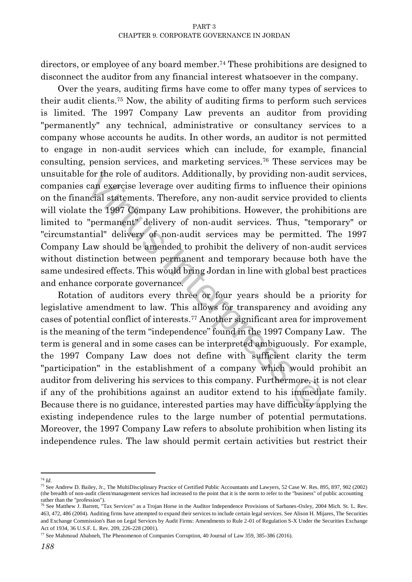directors, or employee of any board member.<sup>74</sup> These prohibitions are designed to disconnect the auditor from any financial interest whatsoever in the company.

Over the years, auditing firms have come to offer many types of services to their audit clients.<sup>75</sup> Now, the ability of auditing firms to perform such services is limited. The 1997 Company Law prevents an auditor from providing "permanently" any technical, administrative or consultancy services to a company whose accounts he audits. In other words, an auditor is not permitted to engage in non-audit services which can include, for example, financial consulting, pension services, and marketing services.<sup>76</sup> These services may be unsuitable for the role of auditors. Additionally, by providing non-audit services, companies can exercise leverage over auditing firms to influence their opinions on the financial statements. Therefore, any non-audit service provided to clients will violate the 1997 Company Law prohibitions. However, the prohibitions are limited to "permanent" delivery of non-audit services. Thus, "temporary" or "circumstantial" delivery of non-audit services may be permitted. The 1997 Company Law should be amended to prohibit the delivery of non-audit services without distinction between permanent and temporary because both have the same undesired effects. This would bring Jordan in line with global best practices and enhance corporate governance.

for the role of auditors. Additionally, by providing non-audit<br>can exercise leverage over auditing firms to influence their<br>motal statements. Therefore, any non-audit service provided<br>the 1997 Company Law prohibitions. Ho Rotation of auditors every three or four years should be a priority for legislative amendment to law. This allows for transparency and avoiding any cases of potential conflict of interests.<sup>77</sup> Another significant area for improvement is the meaning of the term "independence" found in the 1997 Company Law. The term is general and in some cases can be interpreted ambiguously. For example, the 1997 Company Law does not define with sufficient clarity the term "participation" in the establishment of a company which would prohibit an auditor from delivering his services to this company. Furthermore, it is not clear if any of the prohibitions against an auditor extend to his immediate family. Because there is no guidance, interested parties may have difficulty applying the existing independence rules to the large number of potential permutations. Moreover, the 1997 Company Law refers to absolute prohibition when listing its independence rules. The law should permit certain activities but restrict their

 <sup>74</sup> *Id*.

<sup>75</sup> See Andrew D. Bailey, Jr., The MultiDisciplinary Practice of Certified Public Accountants and Lawyers, 52 Case W. Res. 895, 897, 902 (2002) (the breadth of non-audit client/management services had increased to the point that it is the norm to refer to the "business" of public accounting rather than the "profession").

<sup>76</sup> See Matthew J. Barrett, "Tax Services" as a Trojan Horse in the Auditor Independence Provisions of Sarbanes-Oxley, 2004 Mich. St. L. Rev. 463, 472, 486 (2004). Auditing firms have attempted to expand their services to include certain legal services. See Alison H. Mijares, The Securities and Exchange Commission's Ban on Legal Services by Audit Firms: Amendments to Rule 2-01 of Regulation S-X Under the Securities Exchange Act of 1934, 36 U.S.F. L. Rev. 209, 226-228 (2001).

<sup>77</sup> See Mahmoud Ababneh, The Phenomenon of Companies Corruption, 40 Journal of Law 359, 385-386 (2016).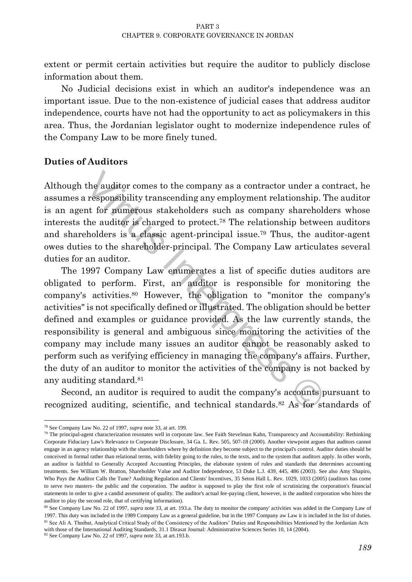extent or permit certain activities but require the auditor to publicly disclose information about them.

No Judicial decisions exist in which an auditor's independence was an important issue. Due to the non-existence of judicial cases that address auditor independence, courts have not had the opportunity to act as policymakers in this area. Thus, the Jordanian legislator ought to modernize independence rules of the Company Law to be more finely tuned.

### **Duties of Auditors**

Although the auditor comes to the company as a contractor under a contract, he assumes a responsibility transcending any employment relationship. The auditor is an agent for numerous stakeholders such as company shareholders whose interests the auditor is charged to protect.<sup>78</sup> The relationship between auditors and shareholders is a classic agent-principal issue.<sup>79</sup> Thus, the auditor-agent owes duties to the shareholder-principal. The Company Law articulates several duties for an auditor.

the auditor comes to the company as a contractor under a cresponsibility transcending any employment relationship. The for numerous stakeholders such as company sharehold the auditor is charged to protect.<sup>78</sup> The relatio The 1997 Company Law enumerates a list of specific duties auditors are obligated to perform. First, an auditor is responsible for monitoring the company's activities.<sup>80</sup> However, the obligation to "monitor the company's activities" is not specifically defined or illustrated. The obligation should be better defined and examples or guidance provided. As the law currently stands, the responsibility is general and ambiguous since monitoring the activities of the company may include many issues an auditor cannot be reasonably asked to perform such as verifying efficiency in managing the company's affairs. Further, the duty of an auditor to monitor the activities of the company is not backed by any auditing standard.<sup>81</sup>

Second, an auditor is required to audit the company's accounts pursuant to recognized auditing, scientific, and technical standards.<sup>82</sup> As for standards of

 $\overline{a}$ <sup>78</sup> See Company Law No. 22 of 1997, *supra* note 33, at art. 199.

 $79$  The principal-agent characterization resonates well in corporate law. See Faith Stevelman Kahn, Transparency and Accountability: Rethinking Corporate Fiduciary Law's Relevance to Corporate Disclosure[, 34 Ga. L. Rev. 505, 507-18 \(2000\)](http://www.lexis.com/research/buttonTFLink?_m=dbe72499b8ce2e11e3080ba2263f13a9&_xfercite=%3ccite%20cc%3d%22USA%22%3e%3c%21%5bCDATA%5b53%20Duke%20L.J.%20439%5d%5d%3e%3c%2fcite%3e&_butType=3&_butStat=2&_butNum=212&_butInline=1&_butinfo=%3ccite%20cc%3d%22USA%22%3e%3c%21%5bCDATA%5b34%20Ga.%20L.%20Rev.%20505%2cat%20507%5d%5d%3e%3c%2fcite%3e&_fmtstr=FULL&docnum=1&_startdoc=1&wchp=dGLbVlz-zSkAz&_md5=9922b69d87512f2adfd2e360c51be117). Another viewpoint argues that auditors cannot engage in an agency relationship with the shareholders where by definition they become subject to the principal's control. Auditor duties should be conceived in formal rather than relational terms, with fidelity going to the rules, to the texts, and to the system that auditors apply. In other words, an auditor is faithful to Generally Accepted Accounting Principles, the elaborate system of rules and standards that determines accounting treatments. See William W. Bratton, Shareholder Value and Auditor Independence, 53 Duke L.J. 439, 445, 486 (2003). See also Amy Shapiro, Who Pays the Auditor Calls the Tune? Auditing Regulation and Clients' Incentives, 35 Seton Hall L. Rev. 1029, 1033 (2005) (auditors has come to serve two masters- the public and the corporation. The auditor is supposed to play the first role of scrutinizing the corporation's financial statements in order to give a candid assessment of quality. The auditor's actual fee-paying client, however, is the audited corporation who hires the auditor to play the second role, that of certifying information).

<sup>80</sup> See Company Law No. 22 of 1997, *supra* note 33, at art. 193.a. The duty to monitor the company' activities was added in the Company Law of 1997. This duty was included in the 1989 Company Law as a general guideline, but in the 1997 Company aw Law it is included in the list of duties. 81 See Ali A. Thnibat, Analytical Critical Study of the Consistency of the Auditors' Duties and Responsibilities Mentioned by the Jordanian Acts with those of the International Auditing Standards, 31.1 Dirasat Journal: Administrative Sciences Series 10, 14 (2004).

<sup>82</sup> See Company Law No. 22 of 1997, *supra* note 33, at art.193.b.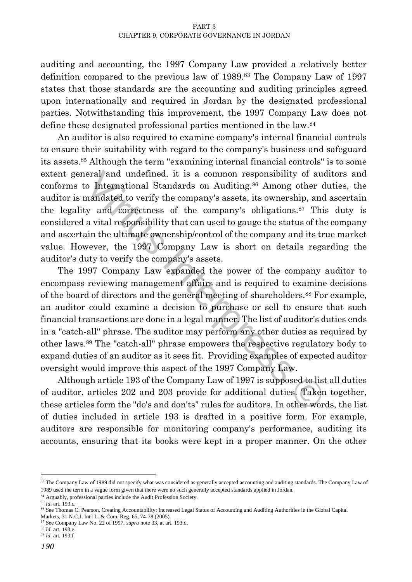auditing and accounting, the 1997 Company Law provided a relatively better definition compared to the previous law of 1989.<sup>83</sup> The Company Law of 1997 states that those standards are the accounting and auditing principles agreed upon internationally and required in Jordan by the designated professional parties. Notwithstanding this improvement, the 1997 Company Law does not define these designated professional parties mentioned in the law.<sup>84</sup>

An auditor is also required to examine company's internal financial controls to ensure their suitability with regard to the company's business and safeguard its assets.<sup>85</sup> Although the term "examining internal financial controls" is to some extent general and undefined, it is a common responsibility of auditors and conforms to International Standards on Auditing.<sup>86</sup> Among other duties, the auditor is mandated to verify the company's assets, its ownership, and ascertain the legality and correctness of the company's obligations.<sup>87</sup> This duty is considered a vital responsibility that can used to gauge the status of the company and ascertain the ultimate ownership/control of the company and its true market value. However, the 1997 Company Law is short on details regarding the auditor's duty to verify the company's assets.

eral and undefined, it is a common responsibility of audio International Standards on Auditing.<sup>86</sup> Among other du<br>annadated to verify the company's assets, its ownership, and<br>y and correctness of the company's obligations The 1997 Company Law expanded the power of the company auditor to encompass reviewing management affairs and is required to examine decisions of the board of directors and the general meeting of shareholders.<sup>88</sup> For example, an auditor could examine a decision to purchase or sell to ensure that such financial transactions are done in a legal manner. The list of auditor's duties ends in a "catch-all" phrase. The auditor may perform any other duties as required by other laws.<sup>89</sup> The "catch-all" phrase empowers the respective regulatory body to expand duties of an auditor as it sees fit. Providing examples of expected auditor oversight would improve this aspect of the 1997 Company Law.

Although article 193 of the Company Law of 1997 is supposed to list all duties of auditor, articles 202 and 203 provide for additional duties. Taken together, these articles form the "do's and don'ts" rules for auditors. In other words, the list of duties included in article 193 is drafted in a positive form. For example, auditors are responsible for monitoring company's performance, auditing its accounts, ensuring that its books were kept in a proper manner. On the other

 $\overline{a}$ 

<sup>83</sup> The Company Law of 1989 did not specify what was considered as generally accepted accounting and auditing standards. The Company Law of 1989 used the term in a vague form given that there were no such generally accepted standards applied in Jordan.

<sup>84</sup> Arguably, professional parties include the Audit Profession Society.

<sup>85</sup> *Id*. art. 193.c.

<sup>86</sup> See Thomas C. Pearson, Creating Accountability: Increased Legal Status of Accounting and Auditing Authorities in the Global Capital Markets, 31 N.C.J. Int'l L. & Com. Reg. 65, 74-78 (2005).

<sup>87</sup> See Company Law No. 22 of 1997, *supra* note 33, at art. 193.d.

<sup>88</sup> *Id*. art. 193.e.

<sup>89</sup> *Id*. art. 193.f.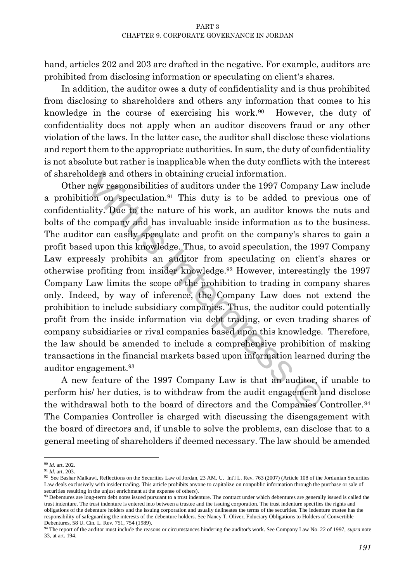hand, articles 202 and 203 are drafted in the negative. For example, auditors are prohibited from disclosing information or speculating on client's shares.

In addition, the auditor owes a duty of confidentiality and is thus prohibited from disclosing to shareholders and others any information that comes to his knowledge in the course of exercising his work.<sup>90</sup> However, the duty of confidentiality does not apply when an auditor discovers fraud or any other violation of the laws. In the latter case, the auditor shall disclose these violations and report them to the appropriate authorities. In sum, the duty of confidentiality is not absolute but rather is inapplicable when the duty conflicts with the interest of shareholders and others in obtaining crucial information.

lders and others in obtaining crucial information.<br>
new responsibilities of auditors under the 1997 Company Lation on speculation.<sup>91</sup> This duty is to be added to previo<br>
ality. Due to the nature of his work, an auditor kn Other new responsibilities of auditors under the 1997 Company Law include a prohibition on speculation.<sup>91</sup> This duty is to be added to previous one of confidentiality. Due to the nature of his work, an auditor knows the nuts and bolts of the company and has invaluable inside information as to the business. The auditor can easily speculate and profit on the company's shares to gain a profit based upon this knowledge. Thus, to avoid speculation, the 1997 Company Law expressly prohibits an auditor from speculating on client's shares or otherwise profiting from insider knowledge.<sup>92</sup> However, interestingly the 1997 Company Law limits the scope of the prohibition to trading in company shares only. Indeed, by way of inference, the Company Law does not extend the prohibition to include subsidiary companies. Thus, the auditor could potentially profit from the inside information via debt trading, or even trading shares of company subsidiaries or rival companies based upon this knowledge. Therefore, the law should be amended to include a comprehensive prohibition of making transactions in the financial markets based upon information learned during the auditor engagement.<sup>93</sup>

A new feature of the 1997 Company Law is that an auditor, if unable to perform his/ her duties, is to withdraw from the audit engagement and disclose the withdrawal both to the board of directors and the Companies Controller.<sup>94</sup> The Companies Controller is charged with discussing the disengagement with the board of directors and, if unable to solve the problems, can disclose that to a general meeting of shareholders if deemed necessary. The law should be amended

 $\overline{a}$ <sup>90</sup> *Id*. art. 202.

<sup>91</sup> *Id*. art. 203.

 $92$  See Bashar Malkawi, Reflections on the Securities Law of Jordan, 23 AM. U. Int'l L. Rev. 763 (2007) (Article 108 of the Jordanian Securities Law deals exclusively with insider trading. This article prohibits anyone to capitalize on nonpublic information through the purchase or sale of securities resulting in the unjust enrichment at the expense of others).

<sup>93</sup> Debentures are long-term debt notes issued pursuant to a trust indenture. The contract under which debentures are generally issued is called the trust indenture. The trust indenture is entered into between a trustee and the issuing corporation. The trust indenture specifies the rights and obligations of the debenture holders and the issuing corporation and usually delineates the terms of the securities. The indenture trustee has the responsibility of safeguarding the interests of the debenture holders. See Nancy T. Oliver, Fiduciary Obligations to Holders of Convertible Debentures, 58 U. Cin. L. Rev. 751, 754 (1989).

<sup>94</sup> The report of the auditor must include the reasons or circumstances hindering the auditor's work. See Company Law No. 22 of 1997, *supra* note 33, at art. 194.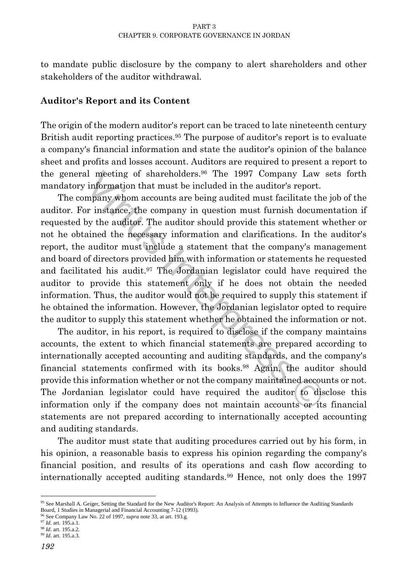to mandate public disclosure by the company to alert shareholders and other stakeholders of the auditor withdrawal.

### **Auditor's Report and its Content**

The origin of the modern auditor's report can be traced to late nineteenth century British audit reporting practices.<sup>95</sup> The purpose of auditor's report is to evaluate a company's financial information and state the auditor's opinion of the balance sheet and profits and losses account. Auditors are required to present a report to the general meeting of shareholders.<sup>96</sup> The 1997 Company Law sets forth mandatory information that must be included in the auditor's report.

al meeting of shareholders.<sup>96</sup> The 1997 Company Law s<br>information that must be included in the auditor's report.<br>mpany whom accounts are being audited must facilitate the<br>pr instance, the company in question must furnish The company whom accounts are being audited must facilitate the job of the auditor. For instance, the company in question must furnish documentation if requested by the auditor. The auditor should provide this statement whether or not he obtained the necessary information and clarifications. In the auditor's report, the auditor must include a statement that the company's management and board of directors provided him with information or statements he requested and facilitated his audit.<sup>97</sup> The Jordanian legislator could have required the auditor to provide this statement only if he does not obtain the needed information. Thus, the auditor would not be required to supply this statement if he obtained the information. However, the Jordanian legislator opted to require the auditor to supply this statement whether he obtained the information or not.

The auditor, in his report, is required to disclose if the company maintains accounts, the extent to which financial statements are prepared according to internationally accepted accounting and auditing standards, and the company's financial statements confirmed with its books.<sup>98</sup> Again, the auditor should provide this information whether or not the company maintained accounts or not. The Jordanian legislator could have required the auditor to disclose this information only if the company does not maintain accounts or its financial statements are not prepared according to internationally accepted accounting and auditing standards.

The auditor must state that auditing procedures carried out by his form, in his opinion, a reasonable basis to express his opinion regarding the company's financial position, and results of its operations and cash flow according to internationally accepted auditing standards.<sup>99</sup> Hence, not only does the 1997

 $\overline{\phantom{a}}$ <sup>95</sup> See Marshall A. Geiger, Setting the Standard for the New Auditor's Report: An Analysis of Attempts to Influence the Auditing Standards Board, 1 Studies in Managerial and Financial Accounting 7-12 (1993).

<sup>96</sup> See Company Law No. 22 of 1997, *supra* note 33, at art. 193.g.

<sup>97</sup> *Id*. art. 195.a.1. <sup>98</sup> *Id*. art. 195.a.2.

<sup>99</sup> *Id*. art. 195.a.3.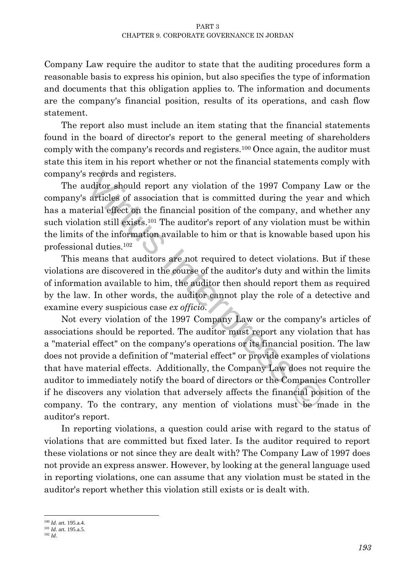Company Law require the auditor to state that the auditing procedures form a reasonable basis to express his opinion, but also specifies the type of information and documents that this obligation applies to. The information and documents are the company's financial position, results of its operations, and cash flow statement.

The report also must include an item stating that the financial statements found in the board of director's report to the general meeting of shareholders comply with the company's records and registers.<sup>100</sup> Once again, the auditor must state this item in his report whether or not the financial statements comply with company's records and registers.

The auditor should report any violation of the 1997 Company Law or the company's articles of association that is committed during the year and which has a material effect on the financial position of the company, and whether any such violation still exists.<sup>101</sup> The auditor's report of any violation must be within the limits of the information available to him or that is knowable based upon his professional duties.<sup>102</sup>

This means that auditors are not required to detect violations. But if these violations are discovered in the course of the auditor's duty and within the limits of information available to him, the auditor then should report them as required by the law. In other words, the auditor cannot play the role of a detective and examine every suspicious case *ex officio*.

is records and registers.<br>
uditor should report any violation of the 1997 Company L<br>
articles of association that is committed during the year a<br>
erial effect on the financial position of the company, and wh<br>
tion still e Not every violation of the 1997 Company Law or the company's articles of associations should be reported. The auditor must report any violation that has a "material effect" on the company's operations or its financial position. The law does not provide a definition of "material effect" or provide examples of violations that have material effects. Additionally, the Company Law does not require the auditor to immediately notify the board of directors or the Companies Controller if he discovers any violation that adversely affects the financial position of the company. To the contrary, any mention of violations must be made in the auditor's report.

In reporting violations, a question could arise with regard to the status of violations that are committed but fixed later. Is the auditor required to report these violations or not since they are dealt with? The Company Law of 1997 does not provide an express answer. However, by looking at the general language used in reporting violations, one can assume that any violation must be stated in the auditor's report whether this violation still exists or is dealt with.

 $\overline{a}$ <sup>100</sup> *Id*. art. 195.a.4.

<sup>101</sup> *Id*. art. 195.a.5.

<sup>102</sup> *Id*.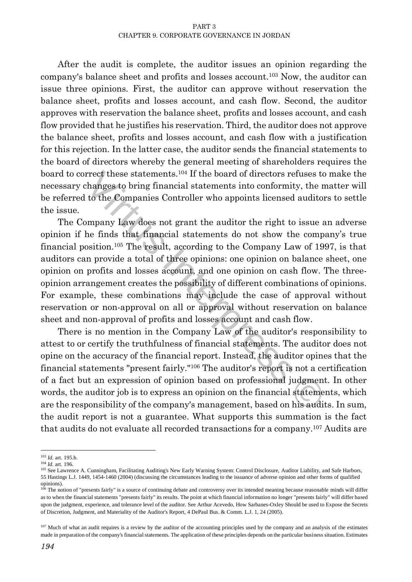After the audit is complete, the auditor issues an opinion regarding the company's balance sheet and profits and losses account.<sup>103</sup> Now, the auditor can issue three opinions. First, the auditor can approve without reservation the balance sheet, profits and losses account, and cash flow. Second, the auditor approves with reservation the balance sheet, profits and losses account, and cash flow provided that he justifies his reservation. Third, the auditor does not approve the balance sheet, profits and losses account, and cash flow with a justification for this rejection. In the latter case, the auditor sends the financial statements to the board of directors whereby the general meeting of shareholders requires the board to correct these statements.<sup>104</sup> If the board of directors refuses to make the necessary changes to bring financial statements into conformity, the matter will be referred to the Companies Controller who appoints licensed auditors to settle the issue.

rrect these statements.<sup>104</sup> If the board of directors refuses to changes to bring financial statements into conformity, the m to the Companies Controller who appoints licensed auditors manyany Law does not grant the audi The Company Law does not grant the auditor the right to issue an adverse opinion if he finds that financial statements do not show the company's true financial position.<sup>105</sup> The result, according to the Company Law of 1997, is that auditors can provide a total of three opinions: one opinion on balance sheet, one opinion on profits and losses account, and one opinion on cash flow. The threeopinion arrangement creates the possibility of different combinations of opinions. For example, these combinations may include the case of approval without reservation or non-approval on all or approval without reservation on balance sheet and non-approval of profits and losses account and cash flow.

There is no mention in the Company Law of the auditor's responsibility to attest to or certify the truthfulness of financial statements. The auditor does not opine on the accuracy of the financial report. Instead, the auditor opines that the financial statements "present fairly."<sup>106</sup> The auditor's report is not a certification of a fact but an expression of opinion based on professional judgment. In other words, the auditor job is to express an opinion on the financial statements, which are the responsibility of the company's management, based on his audits. In sum, the audit report is not a guarantee. What supports this summation is the fact that audits do not evaluate all recorded transactions for a company.<sup>107</sup> Audits are

 $\overline{\phantom{a}}$ 

<sup>103</sup> *Id*. art. 195.b.

<sup>104</sup> *Id*. art. 196.

<sup>105</sup> See Lawrence A. Cunningham, Facilitating Auditing's New Early Warning System: Control Disclosure, Auditor Liability, and Safe Harbors, 55 Hastings L.J. 1449, 1454-1460 (2004) (discussing the circumstances leading to the issuance of adverse opinion and other forms of qualified opinions).

<sup>&</sup>lt;sup>106</sup> The notion of "presents fairly" is a source of continuing debate and controversy over its intended meaning because reasonable minds will differ as to when the financial statements "presents fairly" its results. The point at which financial information no longer "presents fairly" will differ based upon the judgment, experience, and tolerance level of the auditor. See Arthur Acevedo, How Sarbanes**-**Oxley Should be used to Expose the Secrets of Discretion, Judgment, and Materiality of the Auditor's Report, 4 DePaul Bus. & Comm. L.J. 1, 24 (2005).

<sup>&</sup>lt;sup>107</sup> Much of what an audit requires is a review by the auditor of the accounting principles used by the company and an analysis of the estimates made in preparation of the company's financial statements. The application of these principles depends on the particular business situation. Estimates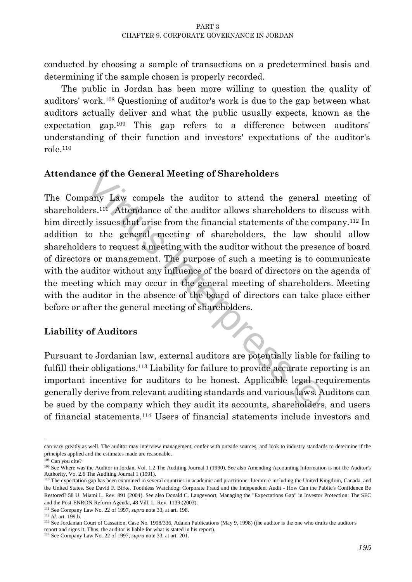conducted by choosing a sample of transactions on a predetermined basis and determining if the sample chosen is properly recorded.

The public in Jordan has been more willing to question the quality of auditors' work.<sup>108</sup> Questioning of auditor's work is due to the gap between what auditors actually deliver and what the public usually expects, known as the expectation gap.<sup>109</sup> This gap refers to a difference between auditors' understanding of their function and investors' expectations of the auditor's role.<sup>110</sup>

# **Attendance of the General Meeting of Shareholders**

identify the General Meeting of Shareholders<br>pany Law compels the auditor to attend the general ners.<sup>111</sup> Attendance of the auditor allows shareholders to dis<br>ly issues that arise from the financial statements of the comp The Company Law compels the auditor to attend the general meeting of shareholders.<sup>111</sup> Attendance of the auditor allows shareholders to discuss with him directly issues that arise from the financial statements of the company.<sup>112</sup> In addition to the general meeting of shareholders, the law should allow shareholders to request a meeting with the auditor without the presence of board of directors or management. The purpose of such a meeting is to communicate with the auditor without any influence of the board of directors on the agenda of the meeting which may occur in the general meeting of shareholders. Meeting with the auditor in the absence of the board of directors can take place either before or after the general meeting of shareholders.

# **Liability of Auditors**

Pursuant to Jordanian law, external auditors are potentially liable for failing to fulfill their obligations.<sup>113</sup> Liability for failure to provide accurate reporting is an important incentive for auditors to be honest. Applicable legal requirements generally derive from relevant auditing standards and various laws. Auditors can be sued by the company which they audit its accounts, shareholders, and users of financial statements.<sup>114</sup> Users of financial statements include investors and

 $\overline{a}$ can vary greatly as well. The auditor may interview management, confer with outside sources, and look to industry standards to determine if the principles applied and the estimates made are reasonable.

<sup>108</sup> Can you cite?

<sup>&</sup>lt;sup>109</sup> See Where was the Auditor in Jordan, Vol. 1.2 The Auditing Journal 1 (1990). See also Amending Accounting Information is not the Auditor's Authority, Vo. 2.6 The Auditing Journal 1 (1991).

<sup>&</sup>lt;sup>110</sup> The expectation gap has been examined in several countries in academic and practitioner literature including the United Kingdom, Canada, and the United States. See David F. Birke, Toothless Watchdog: Corporate Fraud and the Independent Audit - How Can the Public's Confidence Be Restored? 58 U. Miami L. Rev. 891 (2004). See also Donald C. Langevoort, Managing the "Expectations Gap" in Investor Protection: The SEC and the Post-ENRON Reform Agenda, 48 Vill. L. Rev. 1139 (2003).

<sup>111</sup> See Company Law No. 22 of 1997, *supra* note 33, at art. 198.

<sup>112</sup> *Id*. art. 199.b.

<sup>113</sup> See Jordanian Court of Cassation, Case No. 1998/336, Adaleh Publications (May 9, 1998) (the auditor is the one who drafts the auditor's report and signs it. Thus, the auditor is liable for what is stated in his report).

<sup>114</sup> See Company Law No. 22 of 1997, *supra* note 33, at art. 201.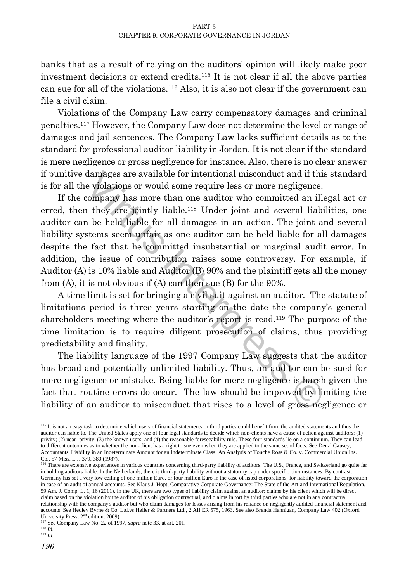banks that as a result of relying on the auditors' opinion will likely make poor investment decisions or extend credits.<sup>115</sup> It is not clear if all the above parties can sue for all of the violations.<sup>116</sup> Also, it is also not clear if the government can file a civil claim.

Violations of the Company Law carry compensatory damages and criminal penalties.<sup>117</sup> However, the Company Law does not determine the level or range of damages and jail sentences. The Company Law lacks sufficient details as to the standard for professional auditor liability in Jordan. It is not clear if the standard is mere negligence or gross negligence for instance. Also, there is no clear answer if punitive damages are available for intentional misconduct and if this standard is for all the violations or would some require less or more negligence.

damages are available for intentional misconduct and if this<br>e violations or would some require less or more negligence.<br>company has more than one auditor who committed an ille<br>in they are jointly liable.<sup>118</sup> Under joint If the company has more than one auditor who committed an illegal act or erred, then they are jointly liable.<sup>118</sup> Under joint and several liabilities, one auditor can be held liable for all damages in an action. The joint and several liability systems seem unfair as one auditor can be held liable for all damages despite the fact that he committed insubstantial or marginal audit error. In addition, the issue of contribution raises some controversy. For example, if Auditor (A) is 10% liable and Auditor (B) 90% and the plaintiff gets all the money from (A), it is not obvious if (A) can then sue (B) for the 90%.

A time limit is set for bringing a civil suit against an auditor. The statute of limitations period is three years starting on the date the company's general shareholders meeting where the auditor's report is read.<sup>119</sup> The purpose of the time limitation is to require diligent prosecution of claims, thus providing predictability and finality.

The liability language of the 1997 Company Law suggests that the auditor has broad and potentially unlimited liability. Thus, an auditor can be sued for mere negligence or mistake. Being liable for mere negligence is harsh given the fact that routine errors do occur. The law should be improved by limiting the liability of an auditor to misconduct that rises to a level of gross negligence or

l

<sup>&</sup>lt;sup>115</sup> It is not an easy task to determine which users of financial statements or third parties could benefit from the audited statements and thus the auditor can liable to. The United States apply one of four legal standards to decide which non-clients have a cause of action against auditors: (1) privity; (2) near- privity; (3) the known users; and (4) the reasonable foreseeability rule. These four standards lie on a continuum. They can lead to different outcomes as to whether the non-client has a right to sue even when they are applied to the same set of facts. See Denzl Causey, Accountants' Liability in an Indeterminate Amount for an Indeterminate Class: An Analysis of Touche Ross & Co. v. Commercial Union Ins. Co., 57 Miss. L.J. 379, 380 (1987).

<sup>&</sup>lt;sup>116</sup> There are extensive experiences in various countries concerning third-party liability of auditors. The U.S., France, and Switzerland go quite far in holding auditors liable. In the Netherlands, there is third-party liability without a statutory cap under specific circumstances. By contrast, Germany has set a very low ceiling of one million Euro, or four million Euro in the case of listed corporations, for liability toward the corporation in case of an audit of annual accounts. See Klaus J. Hopt, Comparative Corporate Governance: The State of the Art and International Regulation, 59 Am. J. Comp. L. 1, 16 (2011). In the UK, there are two types of liability claim against an auditor: claims by his client which will be direct claim based on the violation by the auditor of his obligation contractual; and claims in tort by third parties who are not in any contractual relationship with the company's auditor but who claim damages for losses arising from his reliance on negligently audited financial statement and accounts. See Hedley Byrne & Co. Ltd.vs Heller & Partners Ltd., 2 AII ER 575, 1963. See also Brenda Hannigan, Company Law 402 (Oxford University Press, 2nd edition, 2009).

<sup>117</sup> See Company Law No. 22 of 1997, *supra* note 33, at art. 201.

<sup>118</sup> *Id*. <sup>119</sup> *Id*.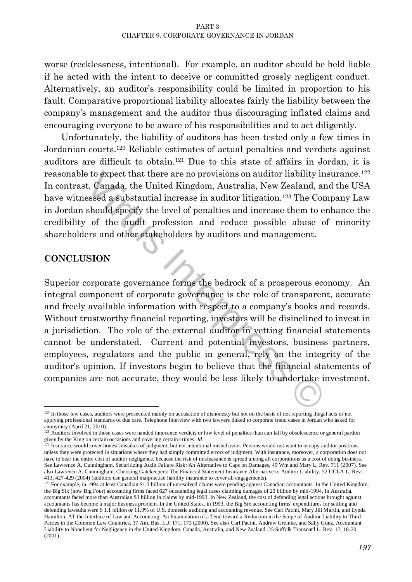worse (recklessness, intentional). For example, an auditor should be held liable if he acted with the intent to deceive or committed grossly negligent conduct. Alternatively, an auditor's responsibility could be limited in proportion to his fault. Comparative proportional liability allocates fairly the liability between the company's management and the auditor thus discouraging inflated claims and encouraging everyone to be aware of his responsibilities and to act diligently.

Unfortunately, the liability of auditors has been tested only a few times in Jordanian courts.<sup>120</sup> Reliable estimates of actual penalties and verdicts against auditors are difficult to obtain.<sup>121</sup> Due to this state of affairs in Jordan, it is reasonable to expect that there are no provisions on auditor liability insurance.<sup>122</sup> In contrast, Canada, the United Kingdom, Australia, New Zealand, and the USA have witnessed a substantial increase in auditor litigation.<sup>123</sup> The Company Law in Jordan should specify the level of penalties and increase them to enhance the credibility of the audit profession and reduce possible abuse of minority shareholders and other stakeholders by auditors and management.

#### **CONCLUSION**

 $\overline{a}$ 

that there are no provisions on auditor liability inst, Canada, the United Kingdom, Australia, New Zealand, anessed a substantial increase in auditor litigation.<sup>123</sup> The Com should specify the level of penalties and incre Superior corporate governance forms the bedrock of a prosperous economy. An integral component of corporate governance is the role of transparent, accurate and freely available information with respect to a company's books and records. Without trustworthy financial reporting, investors will be disinclined to invest in a jurisdiction. The role of the external auditor in vetting financial statements cannot be understated. Current and potential investors, business partners, employees, regulators and the public in general, rely on the integrity of the auditor's opinion. If investors begin to believe that the financial statements of companies are not accurate, they would be less likely to undertake investment.

<sup>&</sup>lt;sup>120</sup> In those few cases, auditors were prosecuted mainly on accusation of dishonesty but not on the basis of not reporting illegal acts or not applying professional standards of due care. Telephone Interview with two lawyers linked to corporate fraud cases in Jordan who asked for anonymity (April 21, 2010).

<sup>&</sup>lt;sup>121</sup> Auditors involved in those cases were handed innocence verdicts or low level of penalties than can fall by obsolescence or general pardon given by the King on certain occasions and covering certain crimes. *Id*. <sup>122</sup> Insurance would cover honest mistakes of judgment, but not intentional misbehavior. Persons would not want to occupy auditor positions

unless they were protected in situations where they had simply committed errors of judgment. With insurance, moreover, a corporation does not have to bear the entire cost of auditor negligence, because the risk of misfeasance is spread among all corporations as a cost of doing business. See Lawrence A. Cunningham, Securitizing Audit Failure Risk: An Alternative to Caps on Damages, 49 Wm and Mary L. Rev. 711 (2007). See also Lawrence A. Cunningham, Choosing Gatekeepers: The Financial Statement Insurance Alternative to Auditor Liability, 52 UCLA L. Rev. 413, 427-429 (2004) (auditors use general malpractice liability insurance to cover all engagements).

<sup>&</sup>lt;sup>123</sup> For example, in 1994 at least Canadian \$1.3 billion of unresolved claims were pending against Canadian accountants. In the United Kingdom, the Big Six (now Big Four) accounting firms faced 627 outstanding legal cases claiming damages of 20 billion by mid-1994. In Australia, accountants faced more than Australian \$3 billion in claims by mid-1993. In New Zealand, the cost of defending legal actions brought against accountants has become a major business problem. In the United States, in 1993, the Big Six accounting firms' expenditures for settling and defending lawsuits were \$ 1.1 billion or 11.9% of U.S. domestic auditing and accounting revenue. See Carl Pacini, Mary Jill Martin, and Lynda Hamilton, AT the Interface of Law and Accounting: An Examination of a Tend toward a Reduction in the Scope of Auditor Liability to Third Parties in the Common Law Countries, 37 Am. Bus. L.J. 171, 173 (2000). See also Carl Pacini, Andrew Greinke, and Sally Gunz, Accountant Liability to Nonclient for Negligence in the United Kingdom, Canada, Australia, and New Zealand, 25 Suffolk Transnat'l L. Rev. 17, 18-20 (2001).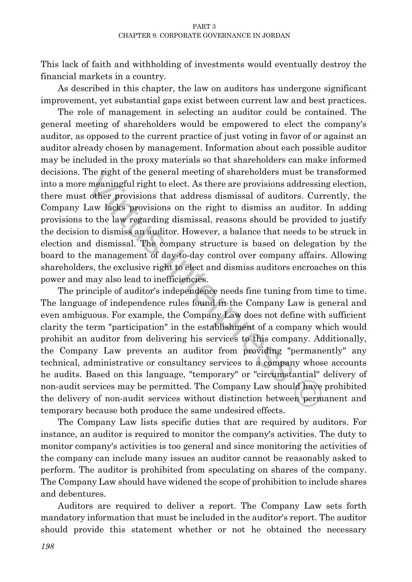This lack of faith and withholding of investments would eventually destroy the financial markets in a country.

As described in this chapter, the law on auditors has undergone significant improvement, yet substantial gaps exist between current law and best practices.

The role of management in selecting an auditor could be contained. The general meeting of shareholders would be empowered to elect the company's auditor, as opposed to the current practice of just voting in favor of or against an auditor already chosen by management. Information about each possible auditor may be included in the proxy materials so that shareholders can make informed decisions. The right of the general meeting of shareholders must be transformed into a more meaningful right to elect. As there are provisions addressing election, there must other provisions that address dismissal of auditors. Currently, the Company Law lacks provisions on the right to dismiss an auditor. In adding provisions to the law regarding dismissal, reasons should be provided to justify the decision to dismiss an auditor. However, a balance that needs to be struck in election and dismissal. The company structure is based on delegation by the board to the management of day-to-day control over company affairs. Allowing shareholders, the exclusive right to elect and dismiss auditors encroaches on this power and may also lead to inefficiencies.

The right of the general meeting of shareholders must be tra<br>
interpretent meaningful right to elect. As there are provisions addressing<br>
cother provisions that address dismissal of auditors. Curre<br>
Law lacks provisions on The principle of auditor's independence needs fine tuning from time to time. The language of independence rules found in the Company Law is general and even ambiguous. For example, the Company Law does not define with sufficient clarity the term "participation" in the establishment of a company which would prohibit an auditor from delivering his services to this company. Additionally, the Company Law prevents an auditor from providing "permanently" any technical, administrative or consultancy services to a company whose accounts he audits. Based on this language, "temporary" or "circumstantial" delivery of non-audit services may be permitted. The Company Law should have prohibited the delivery of non-audit services without distinction between permanent and temporary because both produce the same undesired effects.

The Company Law lists specific duties that are required by auditors. For instance, an auditor is required to monitor the company's activities. The duty to monitor company's activities is too general and since monitoring the activities of the company can include many issues an auditor cannot be reasonably asked to perform. The auditor is prohibited from speculating on shares of the company. The Company Law should have widened the scope of prohibition to include shares and debentures.

Auditors are required to deliver a report. The Company Law sets forth mandatory information that must be included in the auditor's report. The auditor should provide this statement whether or not he obtained the necessary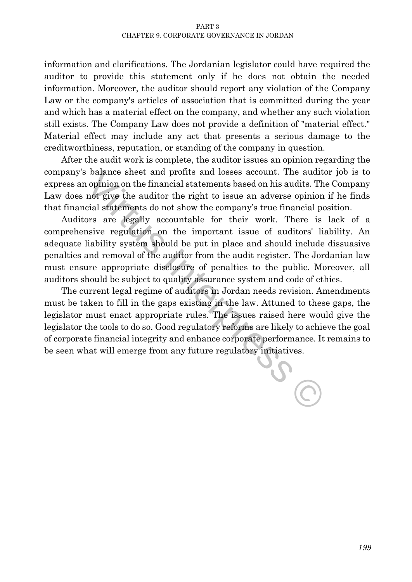#### PART 3 CHAPTER 9. CORPORATE GOVERNANCE IN JORDAN

information and clarifications. The Jordanian legislator could have required the auditor to provide this statement only if he does not obtain the needed information. Moreover, the auditor should report any violation of the Company Law or the company's articles of association that is committed during the year and which has a material effect on the company, and whether any such violation still exists. The Company Law does not provide a definition of "material effect." Material effect may include any act that presents a serious damage to the creditworthiness, reputation, or standing of the company in question.

After the audit work is complete, the auditor issues an opinion regarding the company's balance sheet and profits and losses account. The auditor job is to express an opinion on the financial statements based on his audits. The Company Law does not give the auditor the right to issue an adverse opinion if he finds that financial statements do not show the company's true financial position.

Auditors are legally accountable for their work. There is lack of a comprehensive regulation on the important issue of auditors' liability. An adequate liability system should be put in place and should include dissuasive penalties and removal of the auditor from the audit register. The Jordanian law must ensure appropriate disclosure of penalties to the public. Moreover, all auditors should be subject to quality assurance system and code of ethics.

It is altance sheet and profits and losses account. The audito opinion on the financial statements based on his audits. The not give the auditor the right to issue an adverse opinion is cial statements do not show the comp The current legal regime of auditors in Jordan needs revision. Amendments must be taken to fill in the gaps existing in the law. Attuned to these gaps, the legislator must enact appropriate rules. The issues raised here would give the legislator the tools to do so. Good regulatory reforms are likely to achieve the goal of corporate financial integrity and enhance corporate performance. It remains to be seen what will emerge from any future regulatory initiatives.

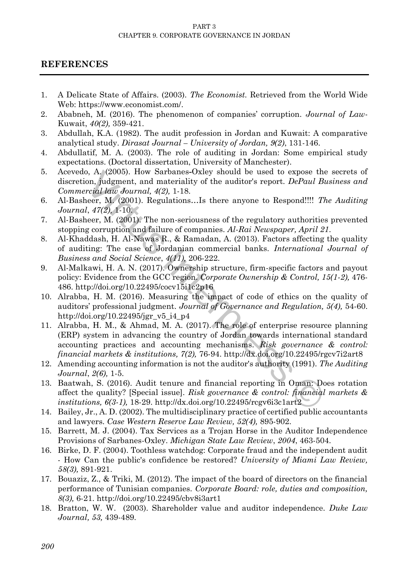#### PART 3 CHAPTER 9. CORPORATE GOVERNANCE IN JORDAN

#### **REFERENCES**

- 1. A Delicate State of Affairs. (2003). *The Economist.* Retrieved from the World Wide Web: [https://www.economist.com/.](https://www.economist.com/)
- 2. Ababneh, M. (2016). The phenomenon of companies' corruption. *Journal of Law*-Kuwait, *40(2),* 359-421.
- 3. Abdullah, K.A. (1982). The audit profession in Jordan and Kuwait: A comparative analytical study. *Dirasat Journal – University of Jordan, 9(2)*, 131-146.
- 4. Abdullatif, M. A. (2003). The role of auditing in Jordan: Some empirical study expectations. (Doctoral dissertation, University of Manchester).
- 5. Acevedo, A. (2005). How Sarbanes**-**Oxley should be used to expose the secrets of discretion, judgment, and materiality of the auditor's report. *DePaul Business and Commercial law Journal, 4(2),* 1-18.
- 6. Al-Basheer, M. (2001). Regulations…Is there anyone to Respond!!!! *The Auditing Journal*, *47(2),* 1-10.
- 7. Al-Basheer, M. (2001). The non-seriousness of the regulatory authorities prevented stopping corruption and failure of companies. *Al-Rai Newspaper, April 21*.
- 8. Al-Khaddash, H. Al-Nawas R., & Ramadan, A. (2013). Factors affecting the quality of auditing: The case of Jordanian commercial banks. *International Journal of Business and Social Science*, *4(11),* 206-222.
- 9. Al-Malkawi, H. A. N. (2017). Ownership structure, firm-specific factors and payout policy: Evidence from the GCC region. *Corporate Ownership & Control, 15(1-2),* 476- 486. http://doi.org/10.22495/cocv15i1c2p16
- 10. Alrabba, H. M. (2016). Measuring the impact of code of ethics on the quality of auditors' professional judgment. *Journal of Governance and Regulation, 5(4),* 54-60. http://doi.org/10.22495/jgr\_v5\_i4\_p4
- o, A. (2005). How Sarbanes-Oxley should be used to expose the<br>on, judgment, and materiality of the auditor's report. *DePaul Bu*,<br>ori, judgment, and materiality of the auditor's report. *DePaul Bu*,<br>reid *Interpress M. (2* 11. Alrabba, H. M., & Ahmad, M. A. (2017). The role of enterprise resource planning (ERP) system in advancing the country of Jordan towards international standard accounting practices and accounting mechanisms. *Risk governance & control: financial markets & institutions, 7(2),* 76-94. http://dx.doi.org/10.22495/rgcv7i2art8
- 12. Amending accounting information is not the auditor's authority (1991). *The Auditing Journal*, *2(6),* 1-5.
- 13. Baatwah, S. (2016). Audit tenure and financial reporting in Oman: Does rotation affect the quality? [Special issue]. *Risk governance & control: financial markets & institutions, 6(3-1),* 18-29. http://dx.doi.org/10.22495/rcgv6i3c1art2
- 14. Bailey, Jr., A. D. (2002). The multidisciplinary practice of certified public accountants and lawyers. *Case Western Reserve Law Review, 52(4),* 895-902.
- 15. Barrett, M. J. (2004). Tax Services as a Trojan Horse in the Auditor Independence Provisions of Sarbanes-Oxley. *Michigan State Law Review*, *2004*, 463-504.
- 16. Birke, D. F. (2004). Toothless watchdog: Corporate fraud and the independent audit - How Can the public's confidence be restored? *University of Miami Law Review, 58(3),* 891-921.
- 17. Bouaziz, Z., & Triki, M. (2012). The impact of the board of directors on the financial performance of Tunisian companies. *Corporate Board: role, duties and composition, 8(3),* 6-21. http://doi.org/10.22495/cbv8i3art1
- 18. Bratton, W. W. (2003). Shareholder value and auditor independence. *Duke Law Journal, 53,* 439-489.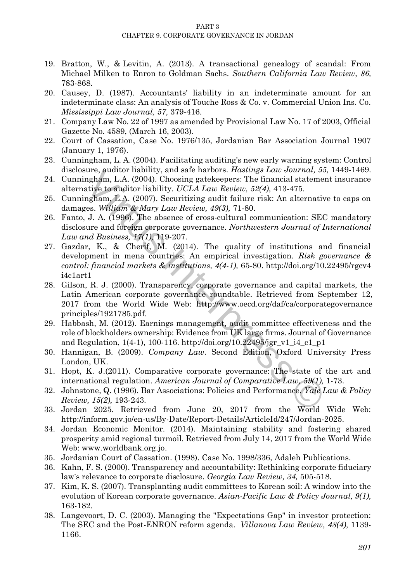- 19. Bratton, W., & Levitin, A. (2013). A transactional genealogy of scandal: From Michael Milken to Enron to Goldman Sachs. *Southern California Law Review*, *86,* 783-868.
- 20. Causey, D. (1987). Accountants' liability in an indeterminate amount for an indeterminate class: An analysis of Touche Ross & Co. v. Commercial Union Ins. Co. *Mississippi Law Journal, 57,* 379-416.
- 21. Company Law No. 22 of 1997 as amended by Provisional Law No. 17 of 2003, Official Gazette No. 4589, (March 16, 2003).
- 22. Court of Cassation, Case No. 1976/135, Jordanian Bar Association Journal 1907 (January 1, 1976).
- 23. Cunningham, L. A. (2004). Facilitating auditing's new early warning system: Control disclosure, auditor liability, and safe harbors. *Hastings Law Journal, 55,* 1449-1469.
- 24. Cunningham, L.A. (2004). Choosing gatekeepers: The financial statement insurance alternative to auditor liability. *UCLA Law Review, 52(4),* 413-475.
- 25. Cunningham, L.A. (2007). Securitizing audit failure risk: An alternative to caps on damages. *William & Mary Law Review, 49(3),* 71-80.
- 26. Fanto, J. A. (1996). The absence of cross-cultural communication: SEC mandatory disclosure and foreign corporate governance. *Northwestern Journal of International Law and Business, 17(1),* 119-207.
- Figure 1 attator mannity, and sale naroors. *Interaction-Biomagnam, L.A.* (2004). Choosing gate exerces: The financial statementative to auditor liability. UCLA Law Review, 52(4), 413-475. mgham, L.A. (2007). Securitzing 27. Gazdar, K., & Cherif, M. (2014). The quality of institutions and financial development in mena countries: An empirical investigation. *Risk governance & control: financial markets & institutions, 4(4-1),* 65-80.<http://doi.org/10.22495/rgcv4> i4c1art1
- 28. Gilson, R. J. (2000). Transparency, corporate governance and capital markets, the Latin American corporate governance roundtable. Retrieved from September 12, 2017 from the World Wide Web: <http://www.oecd.org/daf/ca/corporategovernance> principles/1921785.pdf.
- 29. Habbash, M. (2012). Earnings management, audit committee effectiveness and the role of blockholders ownership: Evidence from UK large firms. Journal of Governance and Regulation, 1(4-1), 100-116. http://doi.org/10.22495/jgr\_v1\_i4\_c1\_p1
- 30. Hannigan, B. (2009). *Company Law*. Second Edition, Oxford University Press London, UK.
- 31. Hopt, K. J.(2011). Comparative corporate governance: The state of the art and international regulation. *American Journal of Comparative Law, 59(1),* 1-73.
- 32. Johnstone, Q. (1996). Bar Associations: Policies and Performance. *Yale Law & Policy Review, 15(2),* 193-243.
- 33. Jordan 2025. Retrieved from June 20, 2017 from the World Wide Web: http://inform.gov.jo/en-us/By-Date/Report-Details/ArticleId/247/Jordan-2025.
- 34. Jordan Economic Monitor. (2014). Maintaining stability and fostering shared prosperity amid regional turmoil. Retrieved from July 14, 2017 from the World Wide Web: [www.worldbank.org.jo.](http://www.worldbank.org.jo/)
- 35. Jordanian Court of Cassation. (1998). Case No. 1998/336, Adaleh Publications.
- 36. Kahn, F. S. (2000). Transparency and accountability: Rethinking corporate fiduciary law's relevance to corporate disclosure. *Georgia Law Review, 34,* 505-518.
- 37. Kim, K. S. (2007). Transplanting audit committees to Korean soil: A window into the evolution of Korean corporate governance. *Asian-Pacific Law & Policy Journal, 9(1),* 163-182.
- 38. Langevoort, D. C. (2003). Managing the "Expectations Gap" in investor protection: The SEC and the Post-ENRON reform agenda. *Villanova Law Review, 48(4),* 1139- 1166.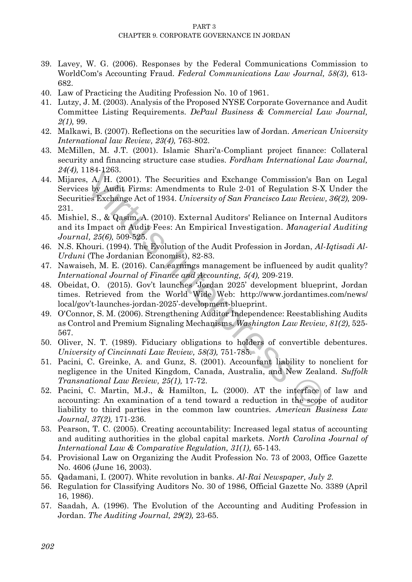- 39. Lavey, W. G. (2006). Responses by the Federal Communications Commission to WorldCom's Accounting Fraud. *Federal Communications Law Journal, 58(3),* 613- 682.
- 40. Law of Practicing the Auditing Profession No. 10 of 1961.
- 41. Lutzy, J. M. (2003). Analysis of the Proposed NYSE Corporate Governance and Audit Committee Listing Requirements. *DePaul Business & Commercial Law Journal, 2(1),* 99.
- 42. Malkawi, B. (2007). Reflections on the securities law of Jordan. *American University International law Review, 23(4),* 763-802.
- 43. McMillen, M. J.T. (2001). Islamic Shari'a-Compliant project finance: Collateral security and financing structure case studies. *Fordham International Law Journal, 24(4),* 1184-1263.
- 1044-260.<br>
1.64. A. (2001). The Securities and Exchange Commission's Ban<br>
1.4. A. (2001). The Securities and Exchange Commission's Ban<br>
is by Audit Firms: Amendments to Rule 2-01 of Regulation S-X<br>
i.e. Exchange Act of 19 44. Mijares, A. H. (2001). The Securities and Exchange Commission's Ban on Legal Services by Audit Firms: Amendments to Rule 2-01 of Regulation S-X Under the Securities Exchange Act of 1934. *University of San Francisco Law Review, 36(2),* 209- 231.
- 45. [Mishiel, S.,](http://www.emeraldinsight.com/author/Said+Suwaidan%2C+Mishiel) & Qasim, A. (2010). External Auditors' Reliance on Internal Auditors and its Impact on Audit Fees: An Empirical Investigation. *Managerial Auditing Journal, 25(6),* 509-525.
- 46. N.S. Khouri. (1994). The Evolution of the Audit Profession in Jordan, *Al-Iqtisadi Al-Urduni* (The Jordanian Economist), 82-83.
- 47. Nawaiseh, M. E. (2016). Can earnings management be influenced by audit quality? *International Journal of Finance and Accounting, 5(4),* 209-219.
- 48. Obeidat, O. (2015). Gov't launches 'Jordan 2025' development blueprint, Jordan times. Retrieved from the World Wide Web: <http://www.jordantimes.com/news/> local/gov't-launches-jordan-2025'-development-blueprint.
- 49. O'Connor, S. M. (2006). Strengthening Auditor Independence: Reestablishing Audits as Control and Premium Signaling Mechanisms. *Washington Law Review, 81(2),* 525- 567.
- 50. Oliver, N. T. (1989). Fiduciary obligations to holders of convertible debentures. *University of Cincinnati Law Review, 58(3),* 751-785.
- 51. Pacini, C. Greinke, A. and Gunz, S. (2001). Accountant liability to nonclient for negligence in the United Kingdom, Canada, Australia, and New Zealand. *Suffolk Transnational Law Review, 25(1),* 17-72.
- 52. Pacini, C. Martin, M.J., & Hamilton, L. (2000). AT the interface of law and accounting: An examination of a tend toward a reduction in the scope of auditor liability to third parties in the common law countries. *American Business Law Journal, 37(2),* 171-236.
- 53. Pearson, T. C. (2005). Creating accountability: Increased legal status of accounting and auditing authorities in the global capital markets. *North Carolina Journal of International Law & Comparative Regulation, 31(1),* 65-143.
- 54. Provisional Law on Organizing the Audit Profession No. 73 of 2003, Office Gazette No. 4606 (June 16, 2003).
- 55. Qadamani, I. (2007). White revolution in banks. *Al-Rai Newspaper, July 2*.
- 56. Regulation for Classifying Auditors No. 30 of 1986, Official Gazette No. 3389 (April 16, 1986).
- 57. Saadah, A. (1996). The Evolution of the Accounting and Auditing Profession in Jordan. *The Auditing Journal, 29(2),* 23-65.